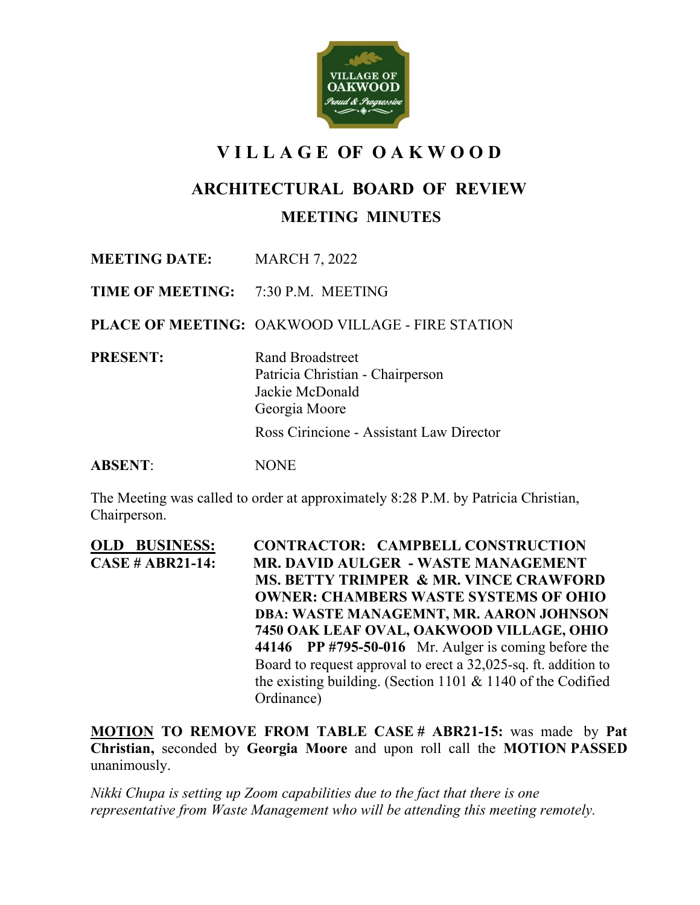

# **V I L L A G E OF O A K W O O D**

## **ARCHITECTURAL BOARD OF REVIEW**

### **MEETING MINUTES**

**MEETING DATE:** MARCH 7, 2022

**TIME OF MEETING:** 7:30 P.M. MEETING

**PLACE OF MEETING:** OAKWOOD VILLAGE - FIRE STATION

**PRESENT:** Rand Broadstreet

Patricia Christian - Chairperson Jackie McDonald Georgia Moore

Ross Cirincione - Assistant Law Director

**ABSENT**: NONE

The Meeting was called to order at approximately 8:28 P.M. by Patricia Christian, Chairperson.

**OLD BUSINESS:****CONTRACTOR: CAMPBELL CONSTRUCTION CASE # ABR21-14: MR. DAVID AULGER - WASTE MANAGEMENT MS. BETTY TRIMPER & MR. VINCE CRAWFORD OWNER: CHAMBERS WASTE SYSTEMS OF OHIO DBA: WASTE MANAGEMNT, MR. AARON JOHNSON 7450 OAK LEAF OVAL, OAKWOOD VILLAGE, OHIO 44146 PP #795-50-016** Mr. Aulger is coming before the Board to request approval to erect a 32,025-sq. ft. addition to the existing building. (Section 1101 & 1140 of the Codified Ordinance)

**MOTION TO REMOVE FROM TABLE CASE # ABR21-15:** was made by **Pat Christian,** seconded by **Georgia Moore** and upon roll call the **MOTION PASSED**  unanimously.

*Nikki Chupa is setting up Zoom capabilities due to the fact that there is one representative from Waste Management who will be attending this meeting remotely.*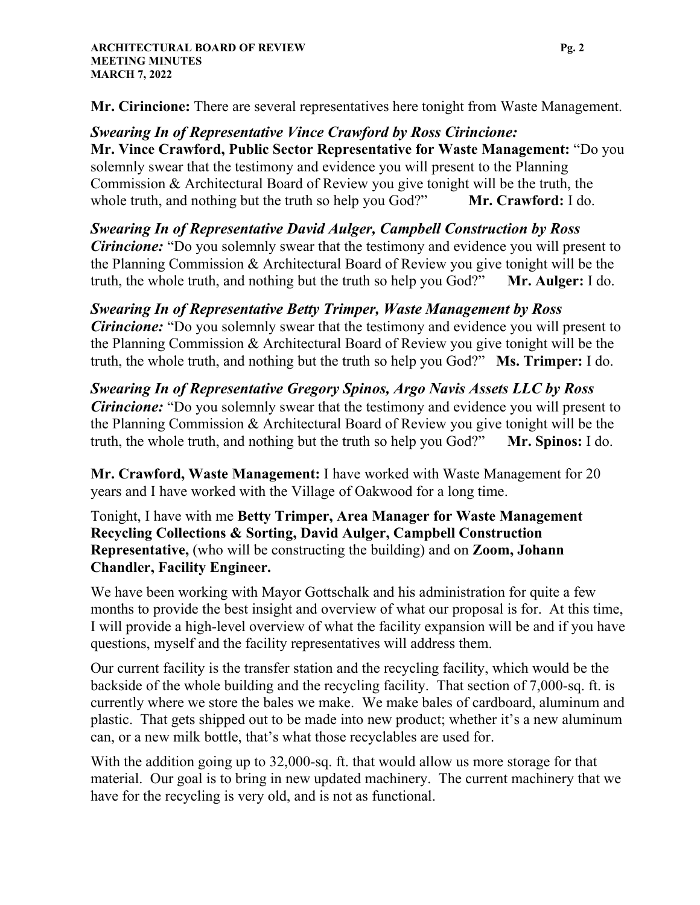**Mr. Cirincione:** There are several representatives here tonight from Waste Management.

*Swearing In of Representative Vince Crawford by Ross Cirincione:* **Mr. Vince Crawford, Public Sector Representative for Waste Management:** "Do you solemnly swear that the testimony and evidence you will present to the Planning Commission & Architectural Board of Review you give tonight will be the truth, the whole truth, and nothing but the truth so help you God?" **Mr. Crawford:** I do.

*Swearing In of Representative David Aulger, Campbell Construction by Ross Cirincione*: "Do you solemnly swear that the testimony and evidence you will present to the Planning Commission & Architectural Board of Review you give tonight will be the truth, the whole truth, and nothing but the truth so help you God?" **Mr. Aulger:** I do.

*Swearing In of Representative Betty Trimper, Waste Management by Ross Cirincione:* "Do you solemnly swear that the testimony and evidence you will present to the Planning Commission & Architectural Board of Review you give tonight will be the truth, the whole truth, and nothing but the truth so help you God?" **Ms. Trimper:** I do.

*Swearing In of Representative Gregory Spinos, Argo Navis Assets LLC by Ross Cirincione:* "Do you solemnly swear that the testimony and evidence you will present to the Planning Commission & Architectural Board of Review you give tonight will be the truth, the whole truth, and nothing but the truth so help you God?" **Mr. Spinos:** I do.

**Mr. Crawford, Waste Management:** I have worked with Waste Management for 20 years and I have worked with the Village of Oakwood for a long time.

Tonight, I have with me **Betty Trimper, Area Manager for Waste Management Recycling Collections & Sorting, David Aulger, Campbell Construction Representative,** (who will be constructing the building) and on **Zoom, Johann Chandler, Facility Engineer.**

We have been working with Mayor Gottschalk and his administration for quite a few months to provide the best insight and overview of what our proposal is for. At this time, I will provide a high-level overview of what the facility expansion will be and if you have questions, myself and the facility representatives will address them.

Our current facility is the transfer station and the recycling facility, which would be the backside of the whole building and the recycling facility. That section of 7,000-sq. ft. is currently where we store the bales we make. We make bales of cardboard, aluminum and plastic. That gets shipped out to be made into new product; whether it's a new aluminum can, or a new milk bottle, that's what those recyclables are used for.

With the addition going up to 32,000-sq. ft. that would allow us more storage for that material. Our goal is to bring in new updated machinery. The current machinery that we have for the recycling is very old, and is not as functional.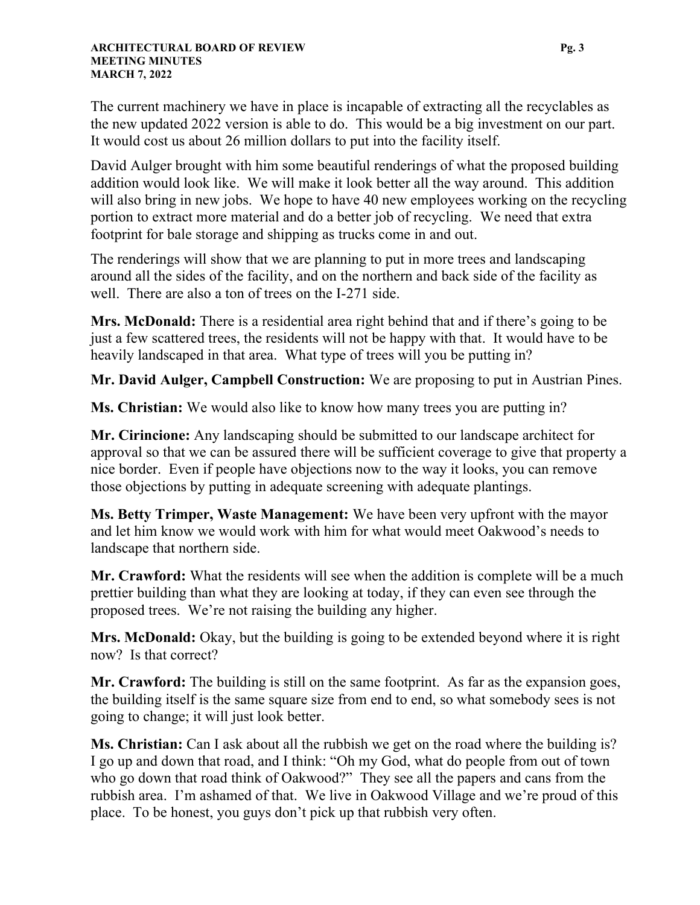The current machinery we have in place is incapable of extracting all the recyclables as the new updated 2022 version is able to do. This would be a big investment on our part. It would cost us about 26 million dollars to put into the facility itself.

David Aulger brought with him some beautiful renderings of what the proposed building addition would look like. We will make it look better all the way around. This addition will also bring in new jobs. We hope to have 40 new employees working on the recycling portion to extract more material and do a better job of recycling. We need that extra footprint for bale storage and shipping as trucks come in and out.

The renderings will show that we are planning to put in more trees and landscaping around all the sides of the facility, and on the northern and back side of the facility as well. There are also a ton of trees on the I-271 side.

**Mrs. McDonald:** There is a residential area right behind that and if there's going to be just a few scattered trees, the residents will not be happy with that. It would have to be heavily landscaped in that area. What type of trees will you be putting in?

**Mr. David Aulger, Campbell Construction:** We are proposing to put in Austrian Pines.

**Ms. Christian:** We would also like to know how many trees you are putting in?

**Mr. Cirincione:** Any landscaping should be submitted to our landscape architect for approval so that we can be assured there will be sufficient coverage to give that property a nice border. Even if people have objections now to the way it looks, you can remove those objections by putting in adequate screening with adequate plantings.

**Ms. Betty Trimper, Waste Management:** We have been very upfront with the mayor and let him know we would work with him for what would meet Oakwood's needs to landscape that northern side.

**Mr. Crawford:** What the residents will see when the addition is complete will be a much prettier building than what they are looking at today, if they can even see through the proposed trees. We're not raising the building any higher.

**Mrs. McDonald:** Okay, but the building is going to be extended beyond where it is right now? Is that correct?

**Mr. Crawford:** The building is still on the same footprint. As far as the expansion goes, the building itself is the same square size from end to end, so what somebody sees is not going to change; it will just look better.

**Ms. Christian:** Can I ask about all the rubbish we get on the road where the building is? I go up and down that road, and I think: "Oh my God, what do people from out of town who go down that road think of Oakwood?" They see all the papers and cans from the rubbish area. I'm ashamed of that. We live in Oakwood Village and we're proud of this place. To be honest, you guys don't pick up that rubbish very often.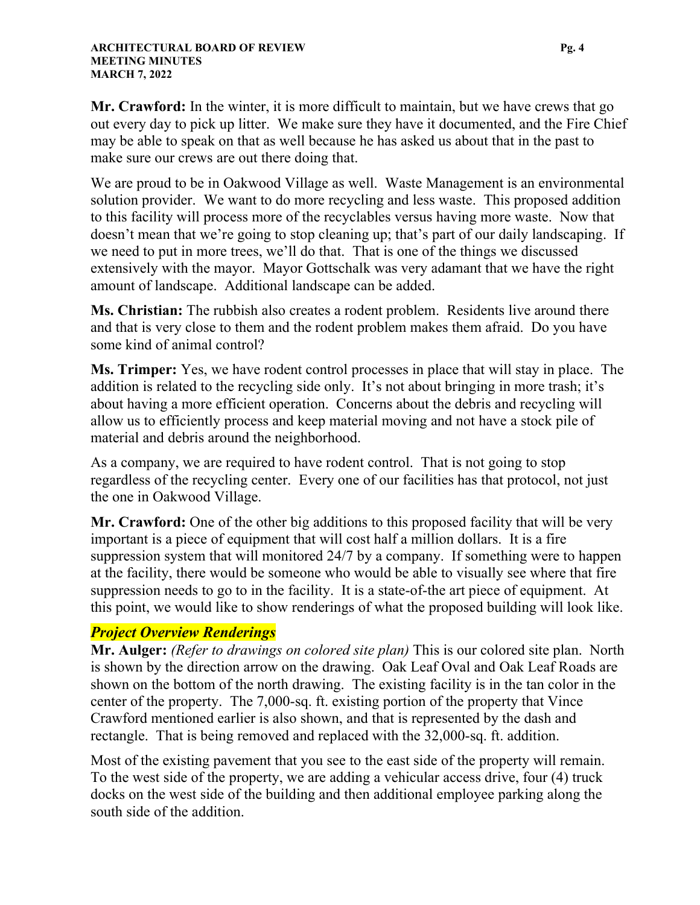**Mr. Crawford:** In the winter, it is more difficult to maintain, but we have crews that go out every day to pick up litter. We make sure they have it documented, and the Fire Chief may be able to speak on that as well because he has asked us about that in the past to make sure our crews are out there doing that.

We are proud to be in Oakwood Village as well. Waste Management is an environmental solution provider. We want to do more recycling and less waste. This proposed addition to this facility will process more of the recyclables versus having more waste. Now that doesn't mean that we're going to stop cleaning up; that's part of our daily landscaping. If we need to put in more trees, we'll do that. That is one of the things we discussed extensively with the mayor. Mayor Gottschalk was very adamant that we have the right amount of landscape. Additional landscape can be added.

**Ms. Christian:** The rubbish also creates a rodent problem. Residents live around there and that is very close to them and the rodent problem makes them afraid. Do you have some kind of animal control?

**Ms. Trimper:** Yes, we have rodent control processes in place that will stay in place. The addition is related to the recycling side only. It's not about bringing in more trash; it's about having a more efficient operation. Concerns about the debris and recycling will allow us to efficiently process and keep material moving and not have a stock pile of material and debris around the neighborhood.

As a company, we are required to have rodent control. That is not going to stop regardless of the recycling center. Every one of our facilities has that protocol, not just the one in Oakwood Village.

**Mr. Crawford:** One of the other big additions to this proposed facility that will be very important is a piece of equipment that will cost half a million dollars. It is a fire suppression system that will monitored 24/7 by a company. If something were to happen at the facility, there would be someone who would be able to visually see where that fire suppression needs to go to in the facility. It is a state-of-the art piece of equipment. At this point, we would like to show renderings of what the proposed building will look like.

### *Project Overview Renderings*

**Mr. Aulger:** *(Refer to drawings on colored site plan)* This is our colored site plan. North is shown by the direction arrow on the drawing. Oak Leaf Oval and Oak Leaf Roads are shown on the bottom of the north drawing. The existing facility is in the tan color in the center of the property. The 7,000-sq. ft. existing portion of the property that Vince Crawford mentioned earlier is also shown, and that is represented by the dash and rectangle. That is being removed and replaced with the 32,000-sq. ft. addition.

Most of the existing pavement that you see to the east side of the property will remain. To the west side of the property, we are adding a vehicular access drive, four (4) truck docks on the west side of the building and then additional employee parking along the south side of the addition.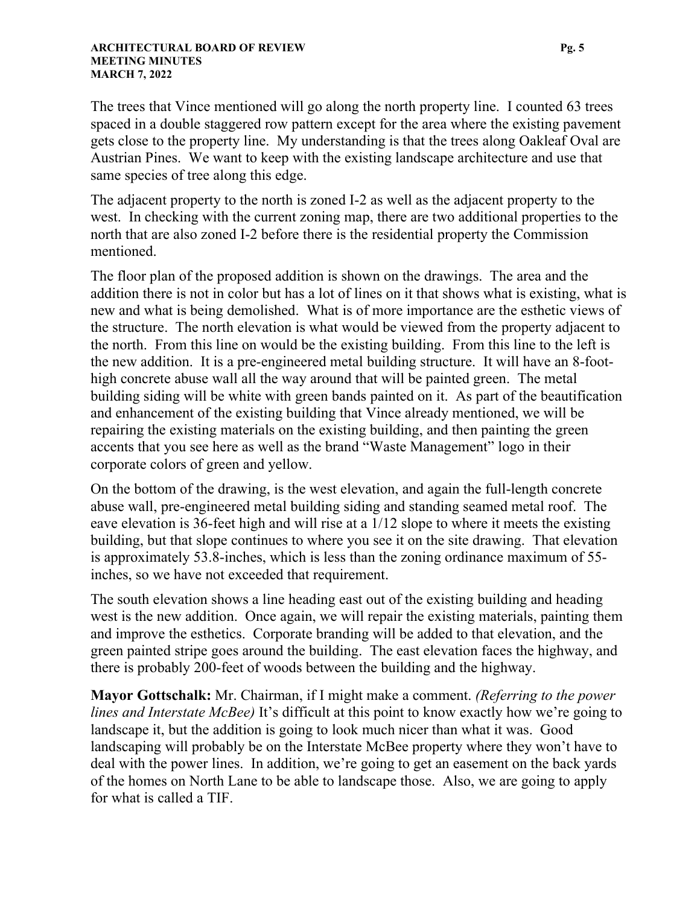The trees that Vince mentioned will go along the north property line. I counted 63 trees spaced in a double staggered row pattern except for the area where the existing pavement gets close to the property line. My understanding is that the trees along Oakleaf Oval are Austrian Pines. We want to keep with the existing landscape architecture and use that same species of tree along this edge.

The adjacent property to the north is zoned I-2 as well as the adjacent property to the west. In checking with the current zoning map, there are two additional properties to the north that are also zoned I-2 before there is the residential property the Commission mentioned.

The floor plan of the proposed addition is shown on the drawings. The area and the addition there is not in color but has a lot of lines on it that shows what is existing, what is new and what is being demolished. What is of more importance are the esthetic views of the structure. The north elevation is what would be viewed from the property adjacent to the north. From this line on would be the existing building. From this line to the left is the new addition. It is a pre-engineered metal building structure. It will have an 8-foothigh concrete abuse wall all the way around that will be painted green. The metal building siding will be white with green bands painted on it. As part of the beautification and enhancement of the existing building that Vince already mentioned, we will be repairing the existing materials on the existing building, and then painting the green accents that you see here as well as the brand "Waste Management" logo in their corporate colors of green and yellow.

On the bottom of the drawing, is the west elevation, and again the full-length concrete abuse wall, pre-engineered metal building siding and standing seamed metal roof. The eave elevation is 36-feet high and will rise at a 1/12 slope to where it meets the existing building, but that slope continues to where you see it on the site drawing. That elevation is approximately 53.8-inches, which is less than the zoning ordinance maximum of 55 inches, so we have not exceeded that requirement.

The south elevation shows a line heading east out of the existing building and heading west is the new addition. Once again, we will repair the existing materials, painting them and improve the esthetics. Corporate branding will be added to that elevation, and the green painted stripe goes around the building. The east elevation faces the highway, and there is probably 200-feet of woods between the building and the highway.

**Mayor Gottschalk:** Mr. Chairman, if I might make a comment. *(Referring to the power lines and Interstate McBee)* It's difficult at this point to know exactly how we're going to landscape it, but the addition is going to look much nicer than what it was. Good landscaping will probably be on the Interstate McBee property where they won't have to deal with the power lines. In addition, we're going to get an easement on the back yards of the homes on North Lane to be able to landscape those. Also, we are going to apply for what is called a TIF.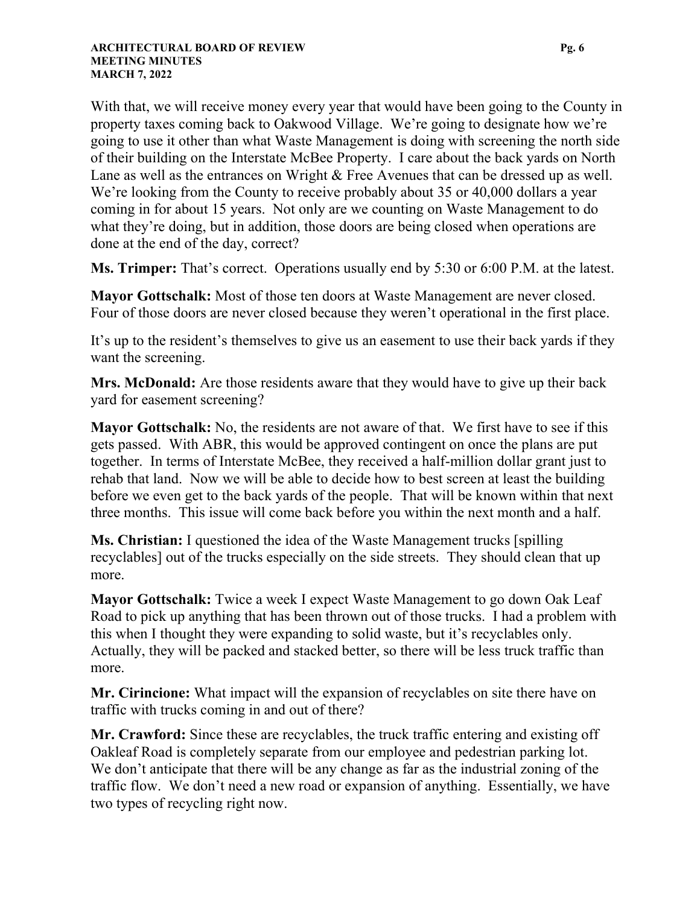With that, we will receive money every year that would have been going to the County in property taxes coming back to Oakwood Village. We're going to designate how we're going to use it other than what Waste Management is doing with screening the north side of their building on the Interstate McBee Property. I care about the back yards on North Lane as well as the entrances on Wright & Free Avenues that can be dressed up as well. We're looking from the County to receive probably about 35 or 40,000 dollars a year coming in for about 15 years. Not only are we counting on Waste Management to do what they're doing, but in addition, those doors are being closed when operations are done at the end of the day, correct?

**Ms. Trimper:** That's correct. Operations usually end by 5:30 or 6:00 P.M. at the latest.

**Mayor Gottschalk:** Most of those ten doors at Waste Management are never closed. Four of those doors are never closed because they weren't operational in the first place.

It's up to the resident's themselves to give us an easement to use their back yards if they want the screening.

**Mrs. McDonald:** Are those residents aware that they would have to give up their back yard for easement screening?

**Mayor Gottschalk:** No, the residents are not aware of that. We first have to see if this gets passed. With ABR, this would be approved contingent on once the plans are put together. In terms of Interstate McBee, they received a half-million dollar grant just to rehab that land. Now we will be able to decide how to best screen at least the building before we even get to the back yards of the people. That will be known within that next three months. This issue will come back before you within the next month and a half.

**Ms. Christian:** I questioned the idea of the Waste Management trucks [spilling recyclables] out of the trucks especially on the side streets. They should clean that up more.

**Mayor Gottschalk:** Twice a week I expect Waste Management to go down Oak Leaf Road to pick up anything that has been thrown out of those trucks. I had a problem with this when I thought they were expanding to solid waste, but it's recyclables only. Actually, they will be packed and stacked better, so there will be less truck traffic than more.

**Mr. Cirincione:** What impact will the expansion of recyclables on site there have on traffic with trucks coming in and out of there?

**Mr. Crawford:** Since these are recyclables, the truck traffic entering and existing off Oakleaf Road is completely separate from our employee and pedestrian parking lot. We don't anticipate that there will be any change as far as the industrial zoning of the traffic flow. We don't need a new road or expansion of anything. Essentially, we have two types of recycling right now.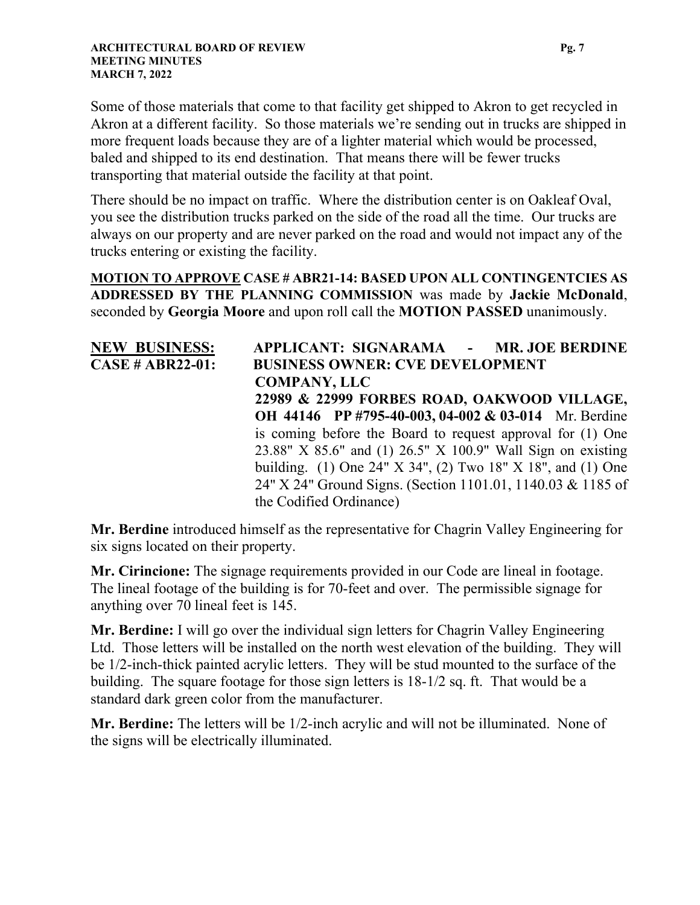Some of those materials that come to that facility get shipped to Akron to get recycled in Akron at a different facility. So those materials we're sending out in trucks are shipped in more frequent loads because they are of a lighter material which would be processed, baled and shipped to its end destination. That means there will be fewer trucks transporting that material outside the facility at that point.

There should be no impact on traffic. Where the distribution center is on Oakleaf Oval, you see the distribution trucks parked on the side of the road all the time. Our trucks are always on our property and are never parked on the road and would not impact any of the trucks entering or existing the facility.

**MOTION TO APPROVE CASE # ABR21-14: BASED UPON ALL CONTINGENTCIES AS ADDRESSED BY THE PLANNING COMMISSION** was made by **Jackie McDonald**, seconded by **Georgia Moore** and upon roll call the **MOTION PASSED** unanimously.

| <b>NEW BUSINESS:</b>    | APPLICANT: SIGNARAMA - MR. JOE BERDINE                      |
|-------------------------|-------------------------------------------------------------|
| <b>CASE # ABR22-01:</b> | <b>BUSINESS OWNER: CVE DEVELOPMENT</b>                      |
|                         | <b>COMPANY, LLC</b>                                         |
|                         | 22989 & 22999 FORBES ROAD, OAKWOOD VILLAGE,                 |
|                         | OH 44146 PP #795-40-003, 04-002 & 03-014 Mr. Berdine        |
|                         | is coming before the Board to request approval for (1) One  |
|                         | 23.88" X 85.6" and (1) 26.5" X 100.9" Wall Sign on existing |
|                         | building. (1) One 24" X 34", (2) Two 18" X 18", and (1) One |
|                         | 24" X 24" Ground Signs. (Section 1101.01, 1140.03 & 1185 of |
|                         | the Codified Ordinance)                                     |

**Mr. Berdine** introduced himself as the representative for Chagrin Valley Engineering for six signs located on their property.

**Mr. Cirincione:** The signage requirements provided in our Code are lineal in footage. The lineal footage of the building is for 70-feet and over. The permissible signage for anything over 70 lineal feet is 145.

**Mr. Berdine:** I will go over the individual sign letters for Chagrin Valley Engineering Ltd. Those letters will be installed on the north west elevation of the building. They will be 1/2-inch-thick painted acrylic letters. They will be stud mounted to the surface of the building. The square footage for those sign letters is 18-1/2 sq. ft. That would be a standard dark green color from the manufacturer.

**Mr. Berdine:** The letters will be 1/2-inch acrylic and will not be illuminated. None of the signs will be electrically illuminated.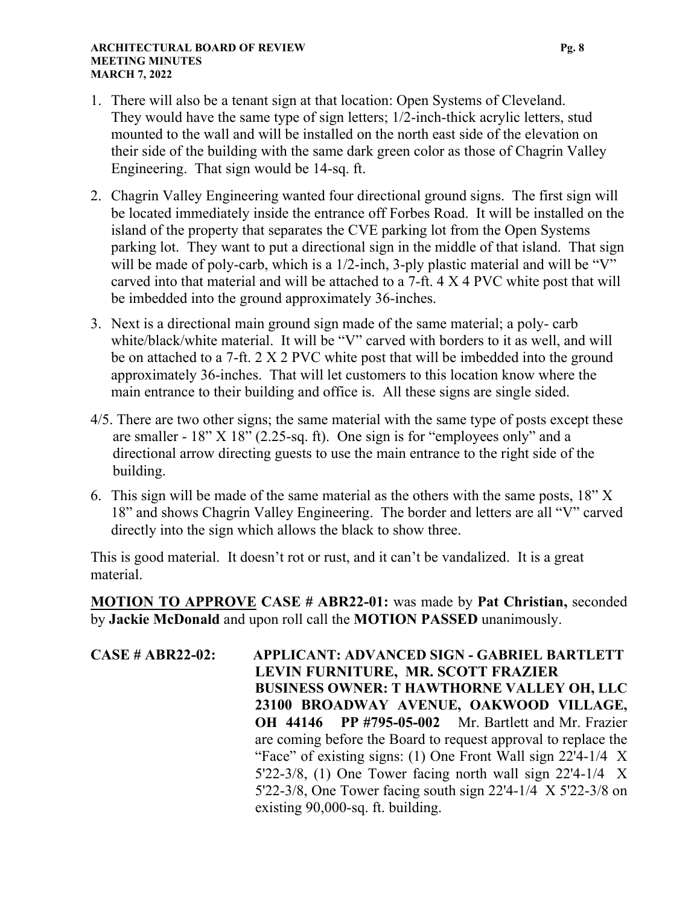#### **ARCHITECTURAL BOARD OF REVIEW Pg. 8 Pg. 8 MEETING MINUTES MARCH 7, 2022**

- 1. There will also be a tenant sign at that location: Open Systems of Cleveland. They would have the same type of sign letters; 1/2-inch-thick acrylic letters, stud mounted to the wall and will be installed on the north east side of the elevation on their side of the building with the same dark green color as those of Chagrin Valley Engineering. That sign would be 14-sq. ft.
- 2. Chagrin Valley Engineering wanted four directional ground signs. The first sign will be located immediately inside the entrance off Forbes Road. It will be installed on the island of the property that separates the CVE parking lot from the Open Systems parking lot. They want to put a directional sign in the middle of that island. That sign will be made of poly-carb, which is a 1/2-inch, 3-ply plastic material and will be "V" carved into that material and will be attached to a 7-ft. 4 X 4 PVC white post that will be imbedded into the ground approximately 36-inches.
- 3. Next is a directional main ground sign made of the same material; a poly- carb white/black/white material. It will be "V" carved with borders to it as well, and will be on attached to a 7-ft. 2 X 2 PVC white post that will be imbedded into the ground approximately 36-inches. That will let customers to this location know where the main entrance to their building and office is. All these signs are single sided.
- 4/5. There are two other signs; the same material with the same type of posts except these are smaller - 18" X 18" (2.25-sq. ft). One sign is for "employees only" and a directional arrow directing guests to use the main entrance to the right side of the building.
- 6. This sign will be made of the same material as the others with the same posts, 18" X 18" and shows Chagrin Valley Engineering. The border and letters are all "V" carved directly into the sign which allows the black to show three.

This is good material. It doesn't rot or rust, and it can't be vandalized. It is a great material.

**MOTION TO APPROVE CASE # ABR22-01:** was made by **Pat Christian,** seconded by **Jackie McDonald** and upon roll call the **MOTION PASSED** unanimously.

**CASE # ABR22-02: APPLICANT: ADVANCED SIGN - GABRIEL BARTLETT LEVIN FURNITURE, MR. SCOTT FRAZIER BUSINESS OWNER: T HAWTHORNE VALLEY OH, LLC 23100 BROADWAY AVENUE, OAKWOOD VILLAGE, OH 44146 PP #795-05-002** Mr. Bartlett and Mr. Frazier are coming before the Board to request approval to replace the "Face" of existing signs: (1) One Front Wall sign 22'4-1/4 X 5'22-3/8, (1) One Tower facing north wall sign 22'4-1/4 X 5'22-3/8, One Tower facing south sign 22'4-1/4 X 5'22-3/8 on existing 90,000-sq. ft. building.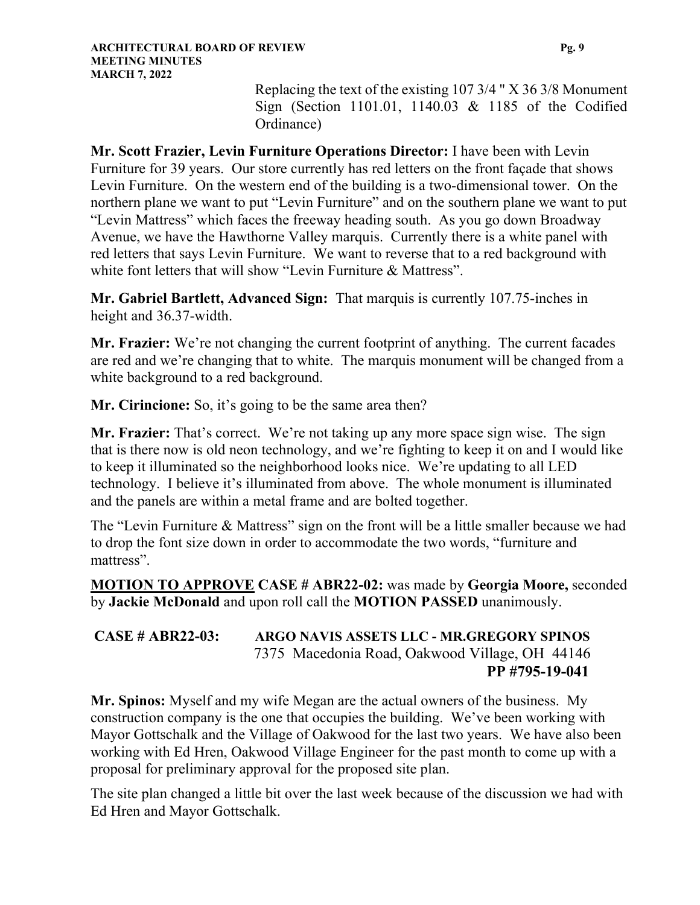Replacing the text of the existing 107 3/4 " X 36 3/8 Monument Sign (Section 1101.01, 1140.03 & 1185 of the Codified Ordinance)

**Mr. Scott Frazier, Levin Furniture Operations Director:** I have been with Levin Furniture for 39 years. Our store currently has red letters on the front façade that shows Levin Furniture. On the western end of the building is a two-dimensional tower. On the northern plane we want to put "Levin Furniture" and on the southern plane we want to put "Levin Mattress" which faces the freeway heading south. As you go down Broadway Avenue, we have the Hawthorne Valley marquis. Currently there is a white panel with red letters that says Levin Furniture. We want to reverse that to a red background with white font letters that will show "Levin Furniture & Mattress".

**Mr. Gabriel Bartlett, Advanced Sign:** That marquis is currently 107.75-inches in height and 36.37-width.

**Mr. Frazier:** We're not changing the current footprint of anything. The current facades are red and we're changing that to white. The marquis monument will be changed from a white background to a red background.

**Mr. Cirincione:** So, it's going to be the same area then?

**Mr. Frazier:** That's correct. We're not taking up any more space sign wise. The sign that is there now is old neon technology, and we're fighting to keep it on and I would like to keep it illuminated so the neighborhood looks nice. We're updating to all LED technology. I believe it's illuminated from above. The whole monument is illuminated and the panels are within a metal frame and are bolted together.

The "Levin Furniture & Mattress" sign on the front will be a little smaller because we had to drop the font size down in order to accommodate the two words, "furniture and mattress".

**MOTION TO APPROVE CASE # ABR22-02:** was made by **Georgia Moore,** seconded by **Jackie McDonald** and upon roll call the **MOTION PASSED** unanimously.

### **CASE # ABR22-03: ARGO NAVIS ASSETS LLC - MR.GREGORY SPINOS** 7375 Macedonia Road, Oakwood Village, OH 44146  **PP #795-19-041**

**Mr. Spinos:** Myself and my wife Megan are the actual owners of the business. My construction company is the one that occupies the building. We've been working with Mayor Gottschalk and the Village of Oakwood for the last two years. We have also been working with Ed Hren, Oakwood Village Engineer for the past month to come up with a proposal for preliminary approval for the proposed site plan.

The site plan changed a little bit over the last week because of the discussion we had with Ed Hren and Mayor Gottschalk.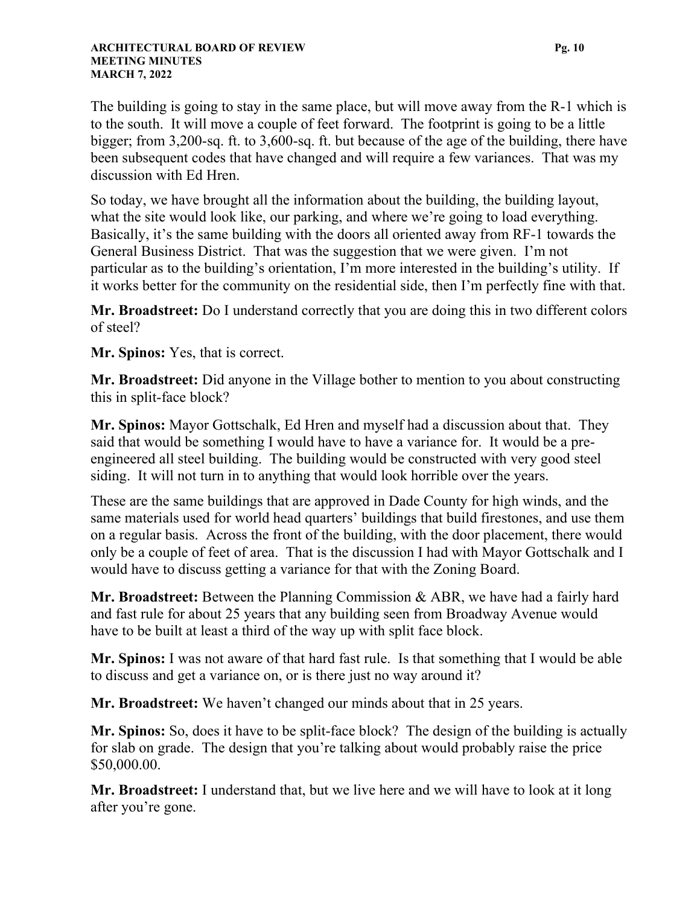The building is going to stay in the same place, but will move away from the R-1 which is to the south. It will move a couple of feet forward. The footprint is going to be a little bigger; from 3,200-sq. ft. to 3,600-sq. ft. but because of the age of the building, there have been subsequent codes that have changed and will require a few variances. That was my discussion with Ed Hren.

So today, we have brought all the information about the building, the building layout, what the site would look like, our parking, and where we're going to load everything. Basically, it's the same building with the doors all oriented away from RF-1 towards the General Business District. That was the suggestion that we were given. I'm not particular as to the building's orientation, I'm more interested in the building's utility. If it works better for the community on the residential side, then I'm perfectly fine with that.

**Mr. Broadstreet:** Do I understand correctly that you are doing this in two different colors of steel?

**Mr. Spinos:** Yes, that is correct.

**Mr. Broadstreet:** Did anyone in the Village bother to mention to you about constructing this in split-face block?

**Mr. Spinos:** Mayor Gottschalk, Ed Hren and myself had a discussion about that. They said that would be something I would have to have a variance for. It would be a preengineered all steel building. The building would be constructed with very good steel siding. It will not turn in to anything that would look horrible over the years.

These are the same buildings that are approved in Dade County for high winds, and the same materials used for world head quarters' buildings that build firestones, and use them on a regular basis. Across the front of the building, with the door placement, there would only be a couple of feet of area. That is the discussion I had with Mayor Gottschalk and I would have to discuss getting a variance for that with the Zoning Board.

**Mr. Broadstreet:** Between the Planning Commission & ABR, we have had a fairly hard and fast rule for about 25 years that any building seen from Broadway Avenue would have to be built at least a third of the way up with split face block.

**Mr. Spinos:** I was not aware of that hard fast rule. Is that something that I would be able to discuss and get a variance on, or is there just no way around it?

**Mr. Broadstreet:** We haven't changed our minds about that in 25 years.

**Mr. Spinos:** So, does it have to be split-face block? The design of the building is actually for slab on grade. The design that you're talking about would probably raise the price \$50,000.00.

**Mr. Broadstreet:** I understand that, but we live here and we will have to look at it long after you're gone.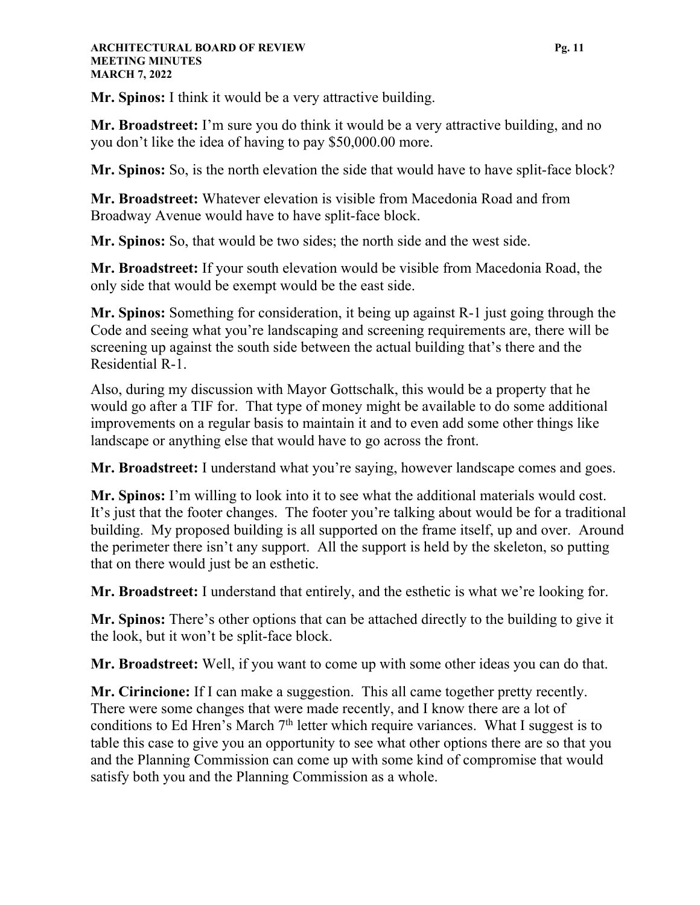#### **ARCHITECTURAL BOARD OF REVIEW Pg. 11 MEETING MINUTES MARCH 7, 2022**

**Mr. Spinos:** I think it would be a very attractive building.

**Mr. Broadstreet:** I'm sure you do think it would be a very attractive building, and no you don't like the idea of having to pay \$50,000.00 more.

**Mr. Spinos:** So, is the north elevation the side that would have to have split-face block?

**Mr. Broadstreet:** Whatever elevation is visible from Macedonia Road and from Broadway Avenue would have to have split-face block.

**Mr. Spinos:** So, that would be two sides; the north side and the west side.

**Mr. Broadstreet:** If your south elevation would be visible from Macedonia Road, the only side that would be exempt would be the east side.

**Mr. Spinos:** Something for consideration, it being up against R-1 just going through the Code and seeing what you're landscaping and screening requirements are, there will be screening up against the south side between the actual building that's there and the Residential R-1.

Also, during my discussion with Mayor Gottschalk, this would be a property that he would go after a TIF for. That type of money might be available to do some additional improvements on a regular basis to maintain it and to even add some other things like landscape or anything else that would have to go across the front.

**Mr. Broadstreet:** I understand what you're saying, however landscape comes and goes.

**Mr. Spinos:** I'm willing to look into it to see what the additional materials would cost. It's just that the footer changes. The footer you're talking about would be for a traditional building. My proposed building is all supported on the frame itself, up and over. Around the perimeter there isn't any support. All the support is held by the skeleton, so putting that on there would just be an esthetic.

**Mr. Broadstreet:** I understand that entirely, and the esthetic is what we're looking for.

**Mr. Spinos:** There's other options that can be attached directly to the building to give it the look, but it won't be split-face block.

**Mr. Broadstreet:** Well, if you want to come up with some other ideas you can do that.

**Mr. Cirincione:** If I can make a suggestion. This all came together pretty recently. There were some changes that were made recently, and I know there are a lot of conditions to Ed Hren's March  $7<sup>th</sup>$  letter which require variances. What I suggest is to table this case to give you an opportunity to see what other options there are so that you and the Planning Commission can come up with some kind of compromise that would satisfy both you and the Planning Commission as a whole.